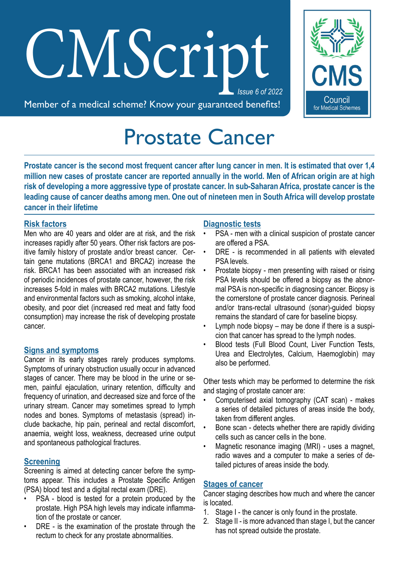*Issue 6 of 2022* CM*S*cript

Council for Medical Schemes

Member of a medical scheme? Know your guaranteed benefits!

# Prostate Cancer

**Prostate cancer is the second most frequent cancer after lung cancer in men. It is estimated that over 1,4 million new cases of prostate cancer are reported annually in the world. Men of African origin are at high risk of developing a more aggressive type of prostate cancer. In sub-Saharan Africa, prostate cancer is the leading cause of cancer deaths among men. One out of nineteen men in South Africa will develop prostate cancer in their lifetime**

## **Risk factors**

Men who are 40 years and older are at risk, and the risk increases rapidly after 50 years. Other risk factors are positive family history of prostate and/or breast cancer. Certain gene mutations (BRCA1 and BRCA2) increase the risk. BRCA1 has been associated with an increased risk of periodic incidences of prostate cancer, however, the risk increases 5-fold in males with BRCA2 mutations. Lifestyle and environmental factors such as smoking, alcohol intake, obesity, and poor diet (increased red meat and fatty food consumption) may increase the risk of developing prostate cancer.

#### **Signs and symptoms**

Cancer in its early stages rarely produces symptoms. Symptoms of urinary obstruction usually occur in advanced stages of cancer. There may be blood in the urine or semen, painful ejaculation, urinary retention, difficulty and frequency of urination, and decreased size and force of the urinary stream. Cancer may sometimes spread to lymph nodes and bones. Symptoms of metastasis (spread) include backache, hip pain, perineal and rectal discomfort, anaemia, weight loss, weakness, decreased urine output and spontaneous pathological fractures.

# **Screening**

Screening is aimed at detecting cancer before the symptoms appear. This includes a Prostate Specific Antigen (PSA) blood test and a digital rectal exam (DRE).

- PSA blood is tested for a protein produced by the prostate. High PSA high levels may indicate inflammation of the prostate or cancer.
- DRE is the examination of the prostate through the rectum to check for any prostate abnormalities.

# **Diagnostic tests**

- PSA men with a clinical suspicion of prostate cancer are offered a PSA.
- DRE is recommended in all patients with elevated PSA levels.
- Prostate biopsy men presenting with raised or rising PSA levels should be offered a biopsy as the abnormal PSA is non-specific in diagnosing cancer. Biopsy is the cornerstone of prostate cancer diagnosis. Perineal and/or trans-rectal ultrasound (sonar)-guided biopsy remains the standard of care for baseline biopsy.
- Lymph node biopsy  $-$  may be done if there is a suspicion that cancer has spread to the lymph nodes.
- Blood tests (Full Blood Count, Liver Function Tests, Urea and Electrolytes, Calcium, Haemoglobin) may also be performed.

Other tests which may be performed to determine the risk and staging of prostate cancer are:

- Computerised axial tomography (CAT scan) makes a series of detailed pictures of areas inside the body, taken from different angles.
- Bone scan detects whether there are rapidly dividing cells such as cancer cells in the bone.
- Magnetic resonance imaging (MRI) uses a magnet, radio waves and a computer to make a series of detailed pictures of areas inside the body.

# **Stages of cancer**

Cancer staging describes how much and where the cancer is located.

- 1. Stage I the cancer is only found in the prostate.
- 2. Stage II is more advanced than stage I, but the cancer has not spread outside the prostate.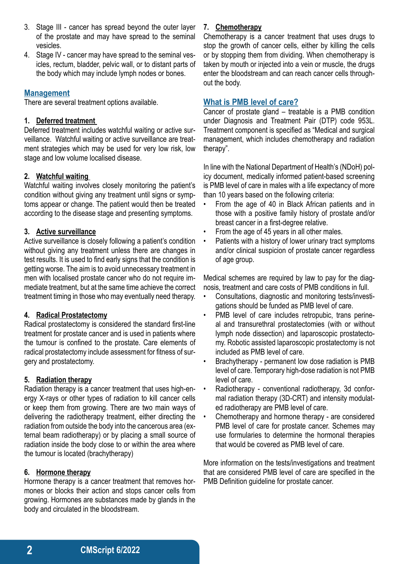- 3. Stage III cancer has spread beyond the outer layer of the prostate and may have spread to the seminal vesicles.
- 4. Stage IV cancer may have spread to the seminal vesicles, rectum, bladder, pelvic wall, or to distant parts of the body which may include lymph nodes or bones.

#### **Management**

There are several treatment options available.

#### **1. Deferred treatment**

Deferred treatment includes watchful waiting or active surveillance. Watchful waiting or active surveillance are treatment strategies which may be used for very low risk, low stage and low volume localised disease.

#### **2. Watchful waiting**

Watchful waiting involves closely monitoring the patient's condition without giving any treatment until signs or symptoms appear or change. The patient would then be treated according to the disease stage and presenting symptoms.

#### **3. Active surveillance**

Active surveillance is closely following a patient's condition without giving any treatment unless there are changes in test results. It is used to find early signs that the condition is getting worse. The aim is to avoid unnecessary treatment in men with localised prostate cancer who do not require immediate treatment, but at the same time achieve the correct treatment timing in those who may eventually need therapy.

#### **4. Radical Prostatectomy**

Radical prostatectomy is considered the standard first-line treatment for prostate cancer and is used in patients where the tumour is confined to the prostate. Care elements of radical prostatectomy include assessment for fitness of surgery and prostatectomy.

#### **5. Radiation therapy**

Radiation therapy is a cancer treatment that uses high-energy X-rays or other types of radiation to kill cancer cells or keep them from growing. There are two main ways of delivering the radiotherapy treatment, either directing the radiation from outside the body into the cancerous area (external beam radiotherapy) or by placing a small source of radiation inside the body close to or within the area where the tumour is located (brachytherapy)

#### **6. Hormone therapy**

Hormone therapy is a cancer treatment that removes hormones or blocks their action and stops cancer cells from growing. Hormones are substances made by glands in the body and circulated in the bloodstream.

### **7. Chemotherapy**

Chemotherapy is a cancer treatment that uses drugs to stop the growth of cancer cells, either by killing the cells or by stopping them from dividing. When chemotherapy is taken by mouth or injected into a vein or muscle, the drugs enter the bloodstream and can reach cancer cells throughout the body.

## **What is PMB level of care?**

Cancer of prostate gland – treatable is a PMB condition under Diagnosis and Treatment Pair (DTP) code 953L. Treatment component is specified as "Medical and surgical management, which includes chemotherapy and radiation therapy".

In line with the National Department of Health's (NDoH) policy document, medically informed patient-based screening is PMB level of care in males with a life expectancy of more than 10 years based on the following criteria:

- From the age of 40 in Black African patients and in those with a positive family history of prostate and/or breast cancer in a first-degree relative.
- From the age of 45 years in all other males.
- Patients with a history of lower urinary tract symptoms and/or clinical suspicion of prostate cancer regardless of age group.

Medical schemes are required by law to pay for the diagnosis, treatment and care costs of PMB conditions in full.

- Consultations, diagnostic and monitoring tests/investigations should be funded as PMB level of care.
- PMB level of care includes retropubic, trans perineal and transurethral prostatectomies (with or without lymph node dissection) and laparoscopic prostatectomy. Robotic assisted laparoscopic prostatectomy is not included as PMB level of care.
- Brachytherapy permanent low dose radiation is PMB level of care. Temporary high-dose radiation is not PMB level of care.
- Radiotherapy conventional radiotherapy, 3d conformal radiation therapy (3D-CRT) and intensity modulated radiotherapy are PMB level of care.
- Chemotherapy and hormone therapy are considered PMB level of care for prostate cancer. Schemes may use formularies to determine the hormonal therapies that would be covered as PMB level of care.

More information on the tests/investigations and treatment that are considered PMB level of care are specified in the PMB Definition guideline for prostate cancer.